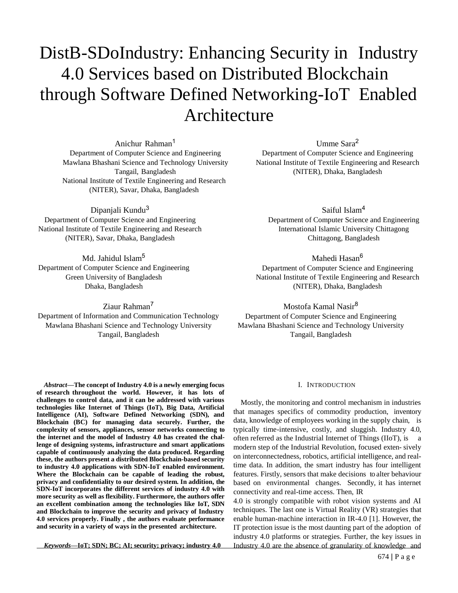# DistB-SDoIndustry: Enhancing Security in Industry 4.0 Services based on Distributed Blockchain through Software Defined Networking-IoT Enabled Architecture

Anichur Rahman<sup>1</sup> Department of Computer Science and Engineering Mawlana Bhashani Science and Technology University Tangail, Bangladesh National Institute of Textile Engineering and Research (NITER), Savar, Dhaka, Bangladesh

Dipanjali Kundu<sup>3</sup> Department of Computer Science and Engineering National Institute of Textile Engineering and Research (NITER), Savar, Dhaka, Bangladesh

Md. Jahidul Islam<sup>5</sup> Department of Computer Science and Engineering Green University of Bangladesh Dhaka, Bangladesh

Ziaur Rahman<sup>7</sup> Department of Information and Communication Technology Mawlana Bhashani Science and Technology University Tangail, Bangladesh

*Abstract***—The concept of Industry 4.0 is a newly emerging focus of research throughout the world. However, it has lots of challenges to control data, and it can be addressed with various technologies like Internet of Things (IoT), Big Data, Artificial Intelligence (AI), Software Defined Networking (SDN), and Blockchain (BC) for managing data securely. Further, the complexity of sensors, appliances, sensor networks connecting to the internet and the model of Industry 4.0 has created the challenge of designing systems, infrastructure and smart applications capable of continuously analyzing the data produced. Regarding these, the authors present a distributed Blockchain-based security to industry 4.0 applications with SDN-IoT enabled environment. Where the Blockchain can be capable of leading the robust, privacy and confidentiality to our desired system. In addition, the SDN-IoT incorporates the different services of industry 4.0 with more security as well as flexibility. Furthermore, the authors offer an excellent combination among the technologies like IoT, SDN and Blockchain to improve the security and privacy of Industry 4.0 services properly. Finally , the authors evaluate performance and security in a variety of ways in the presented architecture.**

*Keywords***—IoT; SDN; BC; AI; security; privacy; industry 4.0**

Umme Sara<sup>2</sup> Department of Computer Science and Engineering National Institute of Textile Engineering and Research (NITER), Dhaka, Bangladesh

Saiful Islam<sup>4</sup> Department of Computer Science and Engineering International Islamic University Chittagong Chittagong, Bangladesh

Mahedi Hasan<sup>6</sup>

Department of Computer Science and Engineering National Institute of Textile Engineering and Research (NITER), Dhaka, Bangladesh

Mostofa Kamal Nasir<sup>8</sup> Department of Computer Science and Engineering Mawlana Bhashani Science and Technology University Tangail, Bangladesh

#### I. INTRODUCTION

Mostly, the monitoring and control mechanism in industries that manages specifics of commodity production, inventory data, knowledge of employees working in the supply chain, is typically time-intensive, costly, and sluggish. Industry 4.0, often referred as the Industrial Internet of Things (IIoT), is a modern step of the Industrial Revolution, focused exten- sively on interconnectedness, robotics, artificial intelligence, and realtime data. In addition, the smart industry has four intelligent features. Firstly, sensors that make decisions to alter behaviour based on environmental changes. Secondly, it has internet connectivity and real-time access. Then, IR

4.0 is strongly compatible with robot vision systems and AI techniques. The last one is Virtual Reality (VR) strategies that enable human-machine interaction in IR-4.0 [1]. However, the IT protection issue is the most daunting part of the adoption of industry 4.0 platforms or strategies. Further, the key issues in Industry 4.0 are the absence of granularity of knowledge and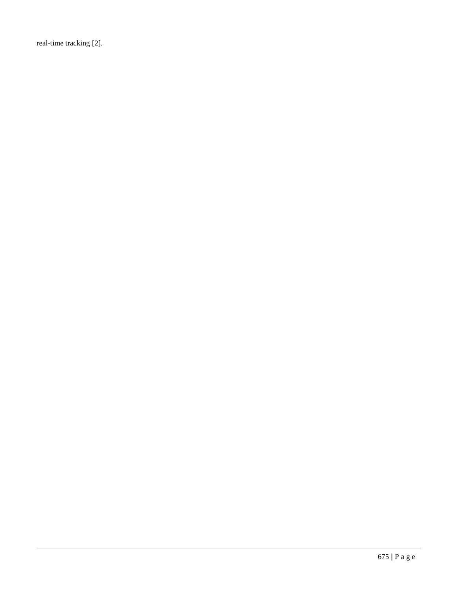real-time tracking [2].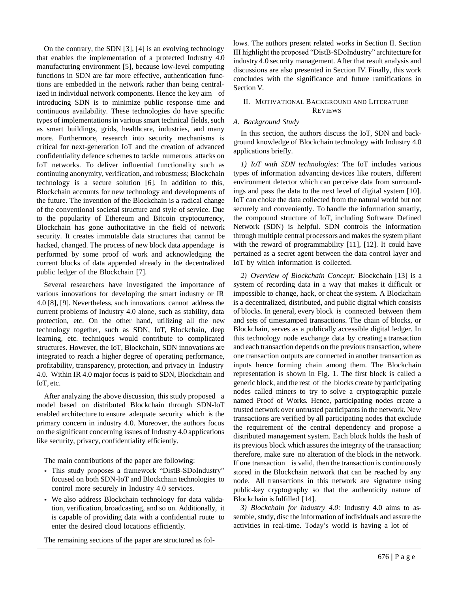On the contrary, the SDN [3], [4] is an evolving technology that enables the implementation of a protected Industry 4.0 manufacturing environment [5], because low-level computing functions in SDN are far more effective, authentication functions are embedded in the network rather than being centralized in individual network components. Hence the key aim of introducing SDN is to minimize public response time and continuous availability. These technologies do have specific types of implementations in various smart technical fields, such as smart buildings, grids, healthcare, industries, and many more. Furthermore, research into security mechanisms is critical for next-generation IoT and the creation of advanced confidentiality defence schemes to tackle numerous attacks on IoT networks. To deliver influential functionality such as continuing anonymity, verification, and robustness; Blockchain technology is a secure solution [6]. In addition to this, Blockchain accounts for new technology and developments of the future. The invention of the Blockchain is a radical change of the conventional societal structure and style of service. Due to the popularity of Ethereum and Bitcoin cryptocurrency, Blockchain has gone authoritative in the field of network security. It creates immutable data structures that cannot be hacked, changed. The process of new block data appendage is performed by some proof of work and acknowledging the current blocks of data appended already in the decentralized public ledger of the Blockchain [7].

Several researchers have investigated the importance of various innovations for developing the smart industry or IR 4.0 [8], [9]. Nevertheless, such innovations cannot address the current problems of Industry 4.0 alone, such as stability, data protection, etc. On the other hand, utilizing all the new technology together, such as SDN, IoT, Blockchain, deep learning, etc. techniques would contribute to complicated structures. However, the IoT, Blockchain, SDN innovations are integrated to reach a higher degree of operating performance, profitability, transparency, protection, and privacy in Industry 4.0. Within IR 4.0 major focus is paid to SDN, Blockchain and IoT, etc.

After analyzing the above discussion, this study proposed a model based on distributed Blockchain through SDN-IoT enabled architecture to ensure adequate security which is the primary concern in industry 4.0. Moreover, the authors focus on the significant concerning issues of Industry 4.0 applications like security, privacy, confidentiality efficiently.

The main contributions of the paper are following:

- *•* This study proposes a framework "DistB-SDoIndustry" focused on both SDN-IoT and Blockchain technologies to control more securely in Industry 4.0 services.
- *•* We also address Blockchain technology for data validation, verification, broadcasting, and so on. Additionally, it is capable of providing data with a confidential route to enter the desired cloud locations efficiently.

The remaining sections of the paper are structured as fol-

lows. The authors present related works in Section II. Section III highlight the proposed "DistB-SDoIndustry" architecture for industry 4.0 security management. After that result analysis and discussions are also presented in Section IV. Finally, this work concludes with the significance and future ramifications in Section V.

# II. MOTIVATIONAL BACKGROUND AND LITERATURE REVIEWS

# *A. Background Study*

In this section, the authors discuss the IoT, SDN and background knowledge of Blockchain technology with Industry 4.0 applications briefly.

*1) IoT with SDN technologies:* The IoT includes various types of information advancing devices like routers, different environment detector which can perceive data from surroundings and pass the data to the next level of digital system [10]. IoT can choke the data collected from the natural world but not securely and conveniently. To handle the information smartly, the compound structure of IoT, including Software Defined Network (SDN) is helpful. SDN controls the information through multiple central processors and makes the system pliant with the reward of programmability [11], [12]. It could have pertained as a secret agent between the data control layer and IoT by which information is collected.

*2) Overview of Blockchain Concept:* Blockchain [13] is a system of recording data in a way that makes it difficult or impossible to change, hack, or cheat the system. A Blockchain is a decentralized, distributed, and public digital which consists of blocks. In general, every block is connected between them and sets of timestamped transactions. The chain of blocks, or Blockchain, serves as a publically accessible digital ledger. In this technology node exchange data by creating a transaction and each transaction depends on the previous transaction, where one transaction outputs are connected in another transaction as inputs hence forming chain among them. The Blockchain representation is shown in Fig. 1. The first block is called a generic block, and the rest of the blocks create by participating nodes called miners to try to solve a cryptographic puzzle named Proof of Works. Hence, participating nodes create a trusted network over untrusted participants in the network. New transactions are verified by all participating nodes that exclude the requirement of the central dependency and propose a distributed management system. Each block holds the hash of its previous block which assures the integrity of the transaction; therefore, make sure no alteration of the block in the network. If one transaction is valid, then the transaction is continuously stored in the Blockchain network that can be reached by any node. All transactions in this network are signature using public-key cryptography so that the authenticity nature of Blockchain is fulfilled [14].

*3) Blockchain for Industry 4.0:* Industry 4.0 aims to assemble, study, disc the information of individuals and assure the activities in real-time. Today's world is having a lot of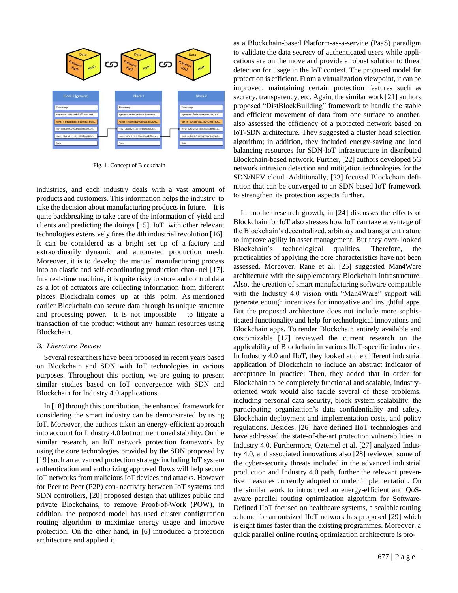

Fig. 1. Concept of Blockchain

industries, and each industry deals with a vast amount of products and customers. This information helps the industry to take the decision about manufacturing products in future. It is quite backbreaking to take care of the information of yield and clients and predicting the doings [15]. IoT with other relevant technologies extensively fires the 4th industrial revolution [16]. It can be considered as a bright set up of a factory and extraordinarily dynamic and automated production mesh. Moreover, it is to develop the manual manufacturing process into an elastic and self-coordinating production chan- nel [17]. In a real-time machine, it is quite risky to store and control data as a lot of actuators are collecting information from different places. Blockchain comes up at this point. As mentioned earlier Blockchain can secure data through its unique structure and processing power. It is not impossible to litigate a transaction of the product without any human resources using Blockchain.

## *B. Literature Review*

Several researchers have been proposed in recent years based on Blockchain and SDN with IoT technologies in various purposes. Throughout this portion, we are going to present similar studies based on IoT convergence with SDN and Blockchain for Industry 4.0 applications.

In [18] through this contribution, the enhanced framework for considering the smart industry can be demonstrated by using IoT. Moreover, the authors taken an energy-efficient approach into account for Industry 4.0 but not mentioned stability. On the similar research, an IoT network protection framework by using the core technologies provided by the SDN proposed by [19] such an advanced protection strategy including IoT system authentication and authorizing approved flows will help secure IoT networks from malicious IoT devices and attacks. However for Peer to Peer (P2P) con- nectivity between IoT systems and SDN controllers, [20] proposed design that utilizes public and private Blockchains, to remove Proof-of-Work (POW), in addition, the proposed model has used cluster configuration routing algorithm to maximize energy usage and improve protection. On the other hand, in [6] introduced a protection architecture and applied it

as a Blockchain-based Platform-as-a-service (PaaS) paradigm to validate the data secrecy of authenticated users while applications are on the move and provide a robust solution to threat detection for usage in the IoT context. The proposed model for protection is efficient. From a virtualization viewpoint, it can be improved, maintaining certain protection features such as secrecy, transparency, etc. Again, the similar work [21] authors proposed "DistBlockBuilding" framework to handle the stable and efficient movement of data from one surface to another, also assessed the efficiency of a protected network based on IoT-SDN architecture. They suggested a cluster head selection algorithm; in addition, they included energy-saving and load balancing resources for SDN-IoT infrastructure in distributed Blockchain-based network. Further, [22] authors developed 5G network intrusion detection and mitigation technologies forthe SDN/NFV cloud. Additionally, [23] focused Blockchain definition that can be converged to an SDN based IoT framework to strengthen its protection aspects further.

In another research growth, in [24] discusses the effects of Blockchain for IoT also stresses how IoT can take advantage of the Blockchain's decentralized, arbitrary and transparent nature to improve agility in asset management. But they over- looked Blockchain's technological qualities. Therefore, the practicalities of applying the core characteristics have not been assessed. Moreover, Rane et al. [25] suggested Man4Ware architecture with the supplementary Blockchain infrastructure. Also, the creation of smart manufacturing software compatible with the Industry 4.0 vision with "Man4Ware" support will generate enough incentives for innovative and insightful apps. But the proposed architecture does not include more sophisticated functionality and help for technological innovations and Blockchain apps. To render Blockchain entirely available and customizable [17] reviewed the current research on the applicability of Blockchain in various IIoT-specific industries. In Industry 4.0 and IIoT, they looked at the different industrial application of Blockchain to include an abstract indicator of acceptance in practice; Then, they added that in order for Blockchain to be completely functional and scalable, industryoriented work would also tackle several of these problems, including personal data security, block system scalability, the participating organization's data confidentiality and safety, Blockchain deployment and implementation costs, and policy regulations. Besides, [26] have defined IIoT technologies and have addressed the state-of-the-art protection vulnerabilities in Industry 4.0. Furthermore, Oztemel et al. [27] analyzed Industry 4.0, and associated innovations also [28] reviewed some of the cyber-security threats included in the advanced industrial production and Industry 4.0 path, further the relevant preventive measures currently adopted or under implementation. On the similar work to introduced an energy-efficient and QoSaware parallel routing optimization algorithm for Software-Defined IIoT focused on healthcare systems, a scalablerouting scheme for an outsized IIoT network has proposed [29] which is eight times faster than the existing programmes. Moreover, a quick parallel online routing optimization architecture is pro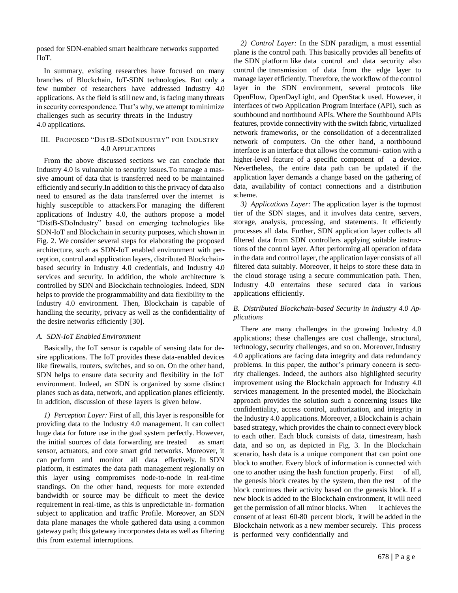posed for SDN-enabled smart healthcare networks supported IIoT.

In summary, existing researches have focused on many branches of Blockchain, IoT-SDN technologies. But only a few number of researchers have addressed Industry 4.0 applications. As the field is still new and, is facing many threats in security correspondence. That's why, we attempt to minimize challenges such as security threats in the Industry 4.0 applications.

# III. PROPOSED "DISTB-SDOINDUSTRY" FOR INDUSTRY 4.0 APPLICATIONS

From the above discussed sections we can conclude that Industry 4.0 is vulnarable to security issues.To manage a massive amount of data that is transferred need to be maintained efficiently and securly.In addition to this the privacy of data also need to ensured as the data transferred over the internet is highly susceptible to attackers.For managing the different applications of Industry 4.0, the authors propose a model "DistB-SDoIndustry" based on emerging technologies like SDN-IoT and Blockchain in security purposes, which shown in Fig. 2. We consider several steps for elaborating the proposed architecture, such as SDN-IoT enabled environment with perception, control and application layers, distributed Blockchainbased security in Industry 4.0 credentials, and Industry 4.0 services and security. In addition, the whole architecture is controlled by SDN and Blockchain technologies. Indeed, SDN helps to provide the programmability and data flexibility to the Industry 4.0 environment. Then, Blockchain is capable of handling the security, privacy as well as the confidentiality of the desire networks efficiently [30].

# *A. SDN-IoT Enabled Environment*

Basically, the IoT sensor is capable of sensing data for desire applications. The IoT provides these data-enabled devices like firewalls, routers, switches, and so on. On the other hand, SDN helps to ensure data security and flexibility in the IoT environment. Indeed, an SDN is organized by some distinct planes such as data, network, and application planes efficiently. In addition, discussion of these layers is given below.

*1) Perception Layer:* First of all, this layer is responsible for providing data to the Industry 4.0 management. It can collect huge data for future use in the goal system perfectly. However, the initial sources of data forwarding are treated as smart sensor, actuators, and core smart grid networks. Moreover, it can perform and monitor all data effectively. In SDN platform, it estimates the data path management regionally on this layer using compromises node-to-node in real-time standings. On the other hand, requests for more extended bandwidth or source may be difficult to meet the device requirement in real-time, as this is unpredictable in- formation subject to application and traffic Profile. Moreover, an SDN data plane manages the whole gathered data using a common gateway path; this gateway incorporates data as well as filtering this from external interruptions.

*2) Control Layer:* In the SDN paradigm, a most essential plane is the control path. This basically provides all benefits of the SDN platform like data control and data security also control the transmission of data from the edge layer to manage layer efficiently. Therefore, the workflow of the control layer in the SDN environment, several protocols like OpenFlow, OpenDayLight, and OpenStack used. However, it interfaces of two Application Program Interface (API), such as southbound and northbound APIs. Where the Southbound APIs features, provide connectivity with the switch fabric, virtualized network frameworks, or the consolidation of a decentralized network of computers. On the other hand, a northbound interface is an interface that allows the communi- cation with a higher-level feature of a specific component of a device. Nevertheless, the entire data path can be updated if the application layer demands a change based on the gathering of data, availability of contact connections and a distribution scheme.

*3) Applications Layer:* The application layer is the topmost tier of the SDN stages, and it involves data centre, servers, storage, analysis, processing, and statements. It efficiently processes all data. Further, SDN application layer collects all filtered data from SDN controllers applying suitable instructions of the control layer. After performing all operation of data in the data and control layer, the application layer consists of all filtered data suitably. Moreover, it helps to store these data in the cloud storage using a secure communication path. Then, Industry 4.0 entertains these secured data in various applications efficiently.

# *B. Distributed Blockchain-based Security in Industry 4.0 Applications*

There are many challenges in the growing Industry 4.0 applications; these challenges are cost challenge, structural, technology, security challenges, and so on. Moreover,Industry 4.0 applications are facing data integrity and data redundancy problems. In this paper, the author's primary concern is security challenges. Indeed, the authors also highlighted security improvement using the Blockchain approach for Industry 4.0 services management. In the presented model, the Blockchain approach provides the solution such a concerning issues like confidentiality, access control, authorization, and integrity in the Industry 4.0 applications. Moreover, a Blockchain is a chain based strategy, which provides the chain to connect every block to each other. Each block consists of data, timestream, hash data, and so on, as depicted in Fig. 3. In the Blockchain scenario, hash data is a unique component that can point one block to another. Every block of information is connected with one to another using the hash function properly. First of all, the genesis block creates by the system, then the rest of the block continues their activity based on the genesis block. If a new block is added to the Blockchain environment, it will need get the permission of all minor blocks. When it achieves the consent of at least 60-80 percent block, it will be added in the Blockchain network as a new member securely. This process is performed very confidentially and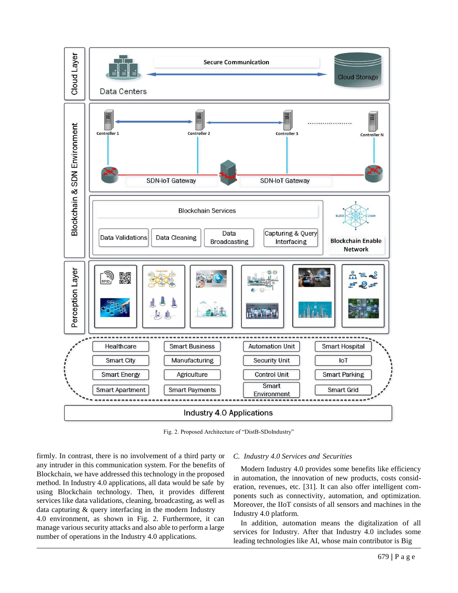

Fig. 2. Proposed Architecture of "DistB-SDoIndustry"

firmly. In contrast, there is no involvement of a third party or any intruder in this communication system. For the benefits of Blockchain, we have addressed this technology in the proposed method. In Industry 4.0 applications, all data would be safe by using Blockchain technology. Then, it provides different services like data validations, cleaning, broadcasting, as well as data capturing & query interfacing in the modern Industry 4.0 environment, as shown in Fig. 2. Furthermore, it can manage various security attacks and also able to perform a large number of operations in the Industry 4.0 applications.

#### *C. Industry 4.0 Services and Securities*

Modern Industry 4.0 provides some benefits like efficiency in automation, the innovation of new products, costs consideration, revenues, etc. [31]. It can also offer intelligent components such as connectivity, automation, and optimization. Moreover, the IIoT consists of all sensors and machines in the Industry 4.0 platform.

In addition, automation means the digitalization of all services for Industry. After that Industry 4.0 includes some leading technologies like AI, whose main contributor is Big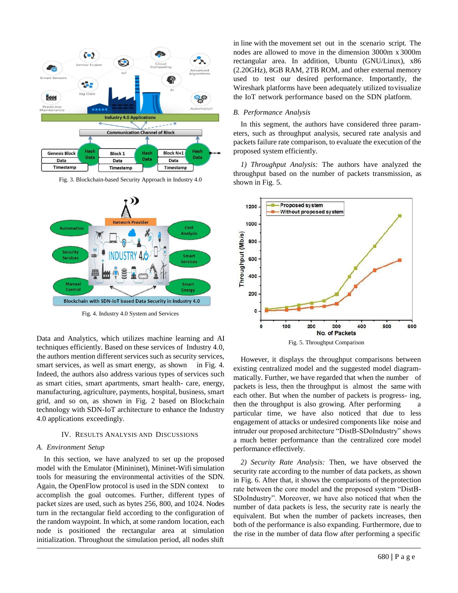

Fig. 3. Blockchain-based Security Approach in Industry 4.0



Fig. 4. Industry 4.0 System and Services

Data and Analytics, which utilizes machine learning and AI techniques efficiently. Based on these services of Industry 4.0, the authors mention different services such as security services, smart services, as well as smart energy, as shown in Fig. 4. Indeed, the authors also address various types of services such as smart cities, smart apartments, smart health- care, energy, manufacturing, agriculture, payments, hospital, business, smart grid, and so on, as shown in Fig. 2 based on Blockchain technology with SDN-IoT architecture to enhance the Industry 4.0 applications exceedingly.

#### IV. RESULTS ANALYSIS AND DISCUSSIONS

## *A. Environment Setup*

In this section, we have analyzed to set up the proposed model with the Emulator (Minininet), Mininet-Wifi simulation tools for measuring the environmental activities of the SDN. Again, the OpenFlow protocol is used in the SDN context to accomplish the goal outcomes. Further, different types of packet sizes are used, such as bytes 256, 800, and 1024. Nodes turn in the rectangular field according to the configuration of the random waypoint. In which, at some random location, each node is positioned the rectangular area at simulation initialization. Throughout the simulation period, all nodes shift in line with the movement set out in the scenario script. The nodes are allowed to move in the dimension 3000m x 3000m rectangular area. In addition, Ubuntu (GNU/Linux), x86 (2.20GHz), 8GB RAM, 2TB ROM, and other external memory used to test our desired performance. Importantly, the Wireshark platforms have been adequately utilized tovisualize the IoT network performance based on the SDN platform.

### *B. Performance Analysis*

In this segment, the authors have considered three parameters, such as throughput analysis, secured rate analysis and packets failure rate comparison, to evaluate the execution of the proposed system efficiently.

*1) Throughput Analysis:* The authors have analyzed the throughput based on the number of packets transmission, as shown in Fig. 5.



However, it displays the throughput comparisons between existing centralized model and the suggested model diagrammatically. Further, we have regarded that when the number of packets is less, then the throughput is almost the same with each other. But when the number of packets is progress- ing, then the throughput is also growing. After performing particular time, we have also noticed that due to less engagement of attacks or undesired components like noise and intruder our proposed architecture "DistB-SDoIndustry" shows a much better performance than the centralized core model performance effectively.

*2) Security Rate Analysis:* Then, we have observed the security rate according to the number of data packets, as shown in Fig. 6. After that, it shows the comparisons of the protection rate between the core model and the proposed system "DistB-SDoIndustry". Moreover, we have also noticed that when the number of data packets is less, the security rate is nearly the equivalent. But when the number of packets increases, then both of the performance is also expanding. Furthermore, due to the rise in the number of data flow after performing a specific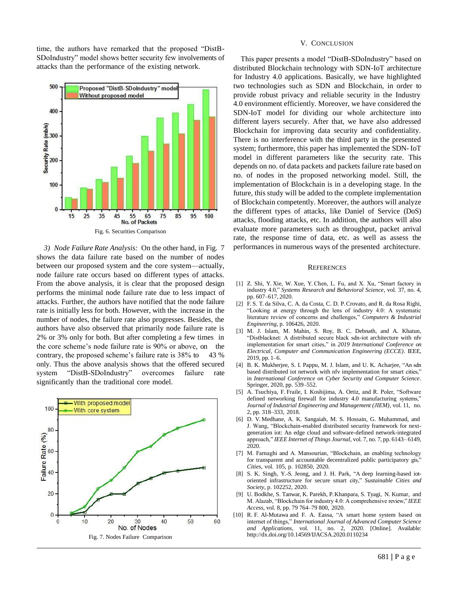time, the authors have remarked that the proposed "DistB-SDoIndustry" model shows better security few involvements of attacks than the performance of the existing network.



*3) Node Failure Rate Analysis:* On the other hand, in Fig. 7 shows the data failure rate based on the number of nodes between our proposed system and the core system—actually, node failure rate occurs based on different types of attacks. From the above analysis, it is clear that the proposed design performs the minimal node failure rate due to less impact of attacks. Further, the authors have notified that the node failure rate is initially less for both. However, with the increase in the number of nodes, the failure rate also progresses. Besides, the authors have also observed that primarily node failure rate is 2% or 3% only for both. But after completing a few times in the core scheme's node failure rate is 90% or above, on the contrary, the proposed scheme's failure rate is 38% to 43 % only. Thus the above analysis shows that the offered secured system "DistB-SDoIndustry" overcomes failure rate significantly than the traditional core model.



#### V. CONCLUSION

This paper presents a model "DistB-SDoIndustry" based on distributed Blockchain technology with SDN-IoT architecture for Industry 4.0 applications. Basically, we have highlighted two technologies such as SDN and Blockchain, in order to provide robust privacy and reliable security in the Industry 4.0 environment efficiently. Moreover, we have considered the SDN-IoT model for dividing our whole architecture into different layers securely. After that, we have also addressed Blockchain for improving data security and confidentiality. There is no interference with the third party in the presented system; furthermore, this paper has implemented the SDN- IoT model in different parameters like the security rate. This depends on no. of data packets and packets failure rate based on no. of nodes in the proposed networking model. Still, the implementation of Blockchain is in a developing stage. In the future, this study will be added to the complete implementation of Blockchain competently. Moreover, the authors will analyze the different types of attacks, like Daniel of Service (DoS) attacks, flooding attacks, etc. In addition, the authors will also evaluate more parameters such as throughput, packet arrival rate, the response time of data, etc. as well as assess the performances in numerous ways of the presented architecture.

#### **REFERENCES**

- [1] Z. Shi, Y. Xie, W. Xue, Y. Chen, L. Fu, and X. Xu, "Smart factory in industry 4.0," *Systems Research and Behavioral Science*, vol. 37, no. 4, pp. 607–617, 2020.
- [2] F. S. T. da Silva, C. A. da Costa, C. D. P. Crovato, and R. da Rosa Righi, "Looking at energy through the lens of industry 4.0: A systematic literature review of concerns and challenges," *Computers & Industrial Engineering*, p. 106426, 2020.
- [3] M. J. Islam, M. Mahin, S. Roy, B. C. Debnath, and A. Khatun, "Distblacknet: A distributed secure black sdn-iot architecture with nfv implementation for smart cities," in *2019 International Conference on Electrical, Computer and Communication Engineering (ECCE)*. IEEE, 2019, pp. 1–6.
- [4] B. K. Mukherjee, S. I. Pappu, M. J. Islam, and U. K. Acharjee, "An sdn based distributed iot network with nfv implementation for smart cities," in *International Conference on Cyber Security and Computer Science*. Springer, 2020, pp. 539–552.
- [5] A. Tsuchiya, F. Fraile, I. Koshijima, A. Ortiz, and R. Poler, "Software defined networking firewall for industry 4.0 manufacturing systems," *Journal of Industrial Engineering and Management (JIEM)*, vol. 11, no. 2, pp. 318–333, 2018.
- [6] D. V. Medhane, A. K. Sangaiah, M. S. Hossain, G. Muhammad, and J. Wang, "Blockchain-enabled distributed security framework for nextgeneration iot: An edge cloud and software-defined network-integrated approach," *IEEE Internet of Things Journal*, vol. 7, no. 7, pp. 6143– 6149, 2020.
- [7] M. Farnaghi and A. Mansourian, "Blockchain, an enabling technology for transparent and accountable decentralized public participatory gis," *Cities*, vol. 105, p. 102850, 2020.
- [8] S. K. Singh, Y.-S. Jeong, and J. H. Park, "A deep learning-based iotoriented infrastructure for secure smart city," *Sustainable Cities and Society*, p. 102252, 2020.
- [9] U. Bodkhe, S. Tanwar, K. Parekh, P. Khanpara, S. Tyagi, N. Kumar, and M. Alazab, "Blockchain for industry 4.0: A comprehensive review," *IEEE Access*, vol. 8, pp. 79 764–79 800, 2020.
- [10] R. F. Al-Mutawa and F. A. Eassa, "A smart home system based on internet of things," *International Journal of Advanced Computer Science and Applications*, vol. 11, no. 2, 2020. [Online]. Available: <http://dx.doi.org/10.14569/IJACSA.2020.0110234>